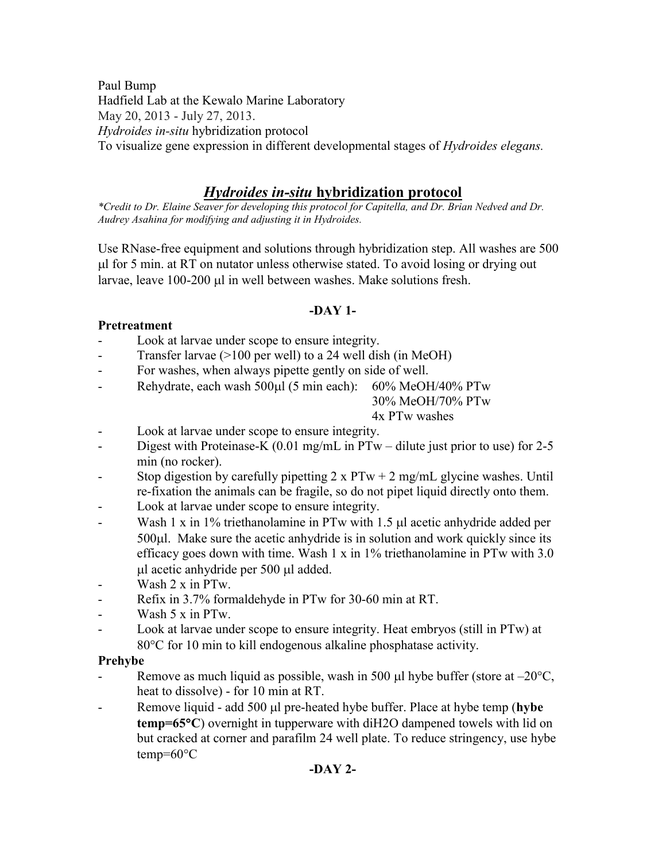Paul Bump Hadfield Lab at the Kewalo Marine Laboratory May 20, 2013 - July 27, 2013. *Hydroides in-situ* hybridization protocol To visualize gene expression in different developmental stages of *Hydroides elegans.*

# *Hydroides in-situ* **hybridization protocol**

*\*Credit to Dr. Elaine Seaver for developing this protocol for Capitella, and Dr. Brian Nedved and Dr. Audrey Asahina for modifying and adjusting it in Hydroides.* 

Use RNase-free equipment and solutions through hybridization step. All washes are 500 l for 5 min. at RT on nutator unless otherwise stated. To avoid losing or drying out larvae, leave 100-200 µl in well between washes. Make solutions fresh.

# **-DAY 1-**

# **Pretreatment**

- Look at larvae under scope to ensure integrity.
- Transfer larvae  $(>100$  per well) to a 24 well dish (in MeOH)
- For washes, when always pipette gently on side of well.
- Rehydrate, each wash 500 $\mu$ l (5 min each): 60% MeOH/40% PTw

30% MeOH/70% PTw

## 4x PTw washes

- Look at larvae under scope to ensure integrity.
- Digest with Proteinase-K (0.01 mg/mL in PTw dilute just prior to use) for 2-5 min (no rocker).
- Stop digestion by carefully pipetting  $2 \times PTw + 2$  mg/mL glycine washes. Until re-fixation the animals can be fragile, so do not pipet liquid directly onto them.
- Look at larvae under scope to ensure integrity.
- Wash 1 x in 1% triethanolamine in PTw with 1.5  $\mu$ l acetic anhydride added per 500 $\mu$ l. Make sure the acetic anhydride is in solution and work quickly since its efficacy goes down with time. Wash 1 x in 1% triethanolamine in PTw with 3.0 ul acetic anhydride per 500 µl added.
- Wash 2 x in PTw.
- Refix in 3.7% formaldehyde in PTw for 30-60 min at RT.
- Wash 5 x in PTw.
- Look at larvae under scope to ensure integrity. Heat embryos (still in PTw) at 80°C for 10 min to kill endogenous alkaline phosphatase activity.

### **Prehybe**

- Remove as much liquid as possible, wash in 500  $\mu$ l hybe buffer (store at –20 $\degree$ C, heat to dissolve) - for 10 min at RT.
- Remove liquid add 500 µ pre-heated hybe buffer. Place at hybe temp (**hybe temp=65C**) overnight in tupperware with diH2O dampened towels with lid on but cracked at corner and parafilm 24 well plate. To reduce stringency, use hybe  $temp=60^{\circ}C$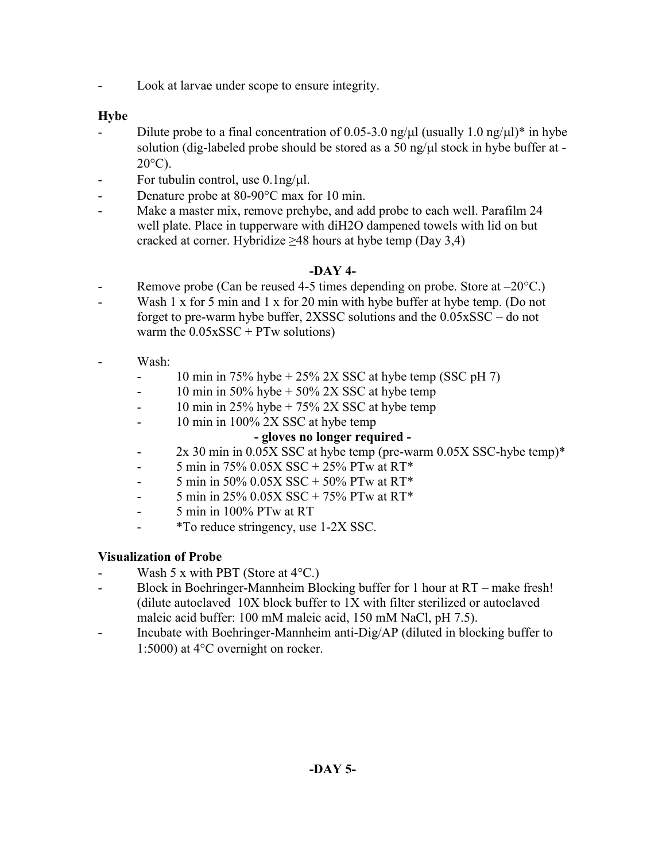Look at larvae under scope to ensure integrity.

# **Hybe**

- Dilute probe to a final concentration of 0.05-3.0 ng/ $\mu$ l (usually 1.0 ng/ $\mu$ l)\* in hybe solution (dig-labeled probe should be stored as a 50 ng/ $\mu$ l stock in hybe buffer at - $20^{\circ}$ C).
- For tubulin control, use  $0.1$ ng/ $\mu$ l.
- Denature probe at 80-90 °C max for 10 min.
- Make a master mix, remove prehybe, and add probe to each well. Parafilm 24 well plate. Place in tupperware with diH2O dampened towels with lid on but cracked at corner. Hybridize  $\geq 48$  hours at hybe temp (Day 3,4)

### **-DAY 4-**

- Remove probe (Can be reused 4-5 times depending on probe. Store at  $-20^{\circ}$ C.)
- Wash 1 x for 5 min and 1 x for 20 min with hybe buffer at hybe temp. (Do not forget to pre-warm hybe buffer, 2XSSC solutions and the 0.05xSSC – do not warm the  $0.05xSSC + PTw$  solutions)
- Wash<sup>-</sup>
	- $-$  10 min in 75% hybe + 25% 2X SSC at hybe temp (SSC pH 7)
	- $-10$  min in 50% hybe  $+50\%$  2X SSC at hybe temp
	- 10 min in 25% hybe  $+ 75\%$  2X SSC at hybe temp
	- 10 min in 100% 2X SSC at hybe temp

### **- gloves no longer required -**

- 2x 30 min in 0.05X SSC at hybe temp (pre-warm 0.05X SSC-hybe temp)\*
- $-$  5 min in 75% 0.05X SSC + 25% PTw at RT\*
- 5 min in 50% 0.05X SSC + 50% PTw at RT\*
- $-$  5 min in 25% 0.05X SSC + 75% PTw at RT\*
- 5 min in 100% PTw at RT
- \*To reduce stringency, use 1-2X SSC.

# **Visualization of Probe**

- Wash 5 x with PBT (Store at  $4^{\circ}$ C.)
- Block in Boehringer-Mannheim Blocking buffer for 1 hour at RT make fresh! (dilute autoclaved 10X block buffer to 1X with filter sterilized or autoclaved maleic acid buffer: 100 mM maleic acid, 150 mM NaCl, pH 7.5).
- Incubate with Boehringer-Mannheim anti-Dig/AP (diluted in blocking buffer to 1:5000) at  $4^{\circ}$ C overnight on rocker.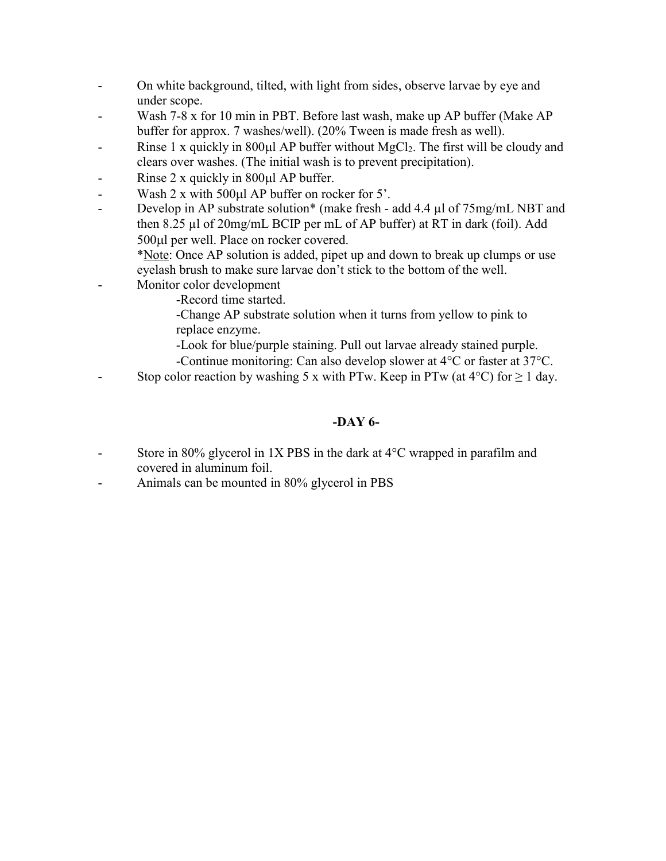- On white background, tilted, with light from sides, observe larvae by eye and under scope.
- Wash 7-8 x for 10 min in PBT. Before last wash, make up AP buffer (Make AP buffer for approx. 7 washes/well). (20% Tween is made fresh as well).
- Rinse 1 x quickly in 800 $\mu$ l AP buffer without MgCl<sub>2</sub>. The first will be cloudy and clears over washes. (The initial wash is to prevent precipitation).
- Rinse  $2 \times$  quickly in 800 $\mu$ l AP buffer.
- Wash  $2 \times$  with  $500 \mu$  AP buffer on rocker for  $5'$ .
- Develop in AP substrate solution\* (make fresh add 4.4 µl of 75mg/mL NBT and then 8.25 µl of 20mg/mL BCIP per mL of AP buffer) at RT in dark (foil). Add 500 $\mu$ l per well. Place on rocker covered.

\*Note: Once AP solution is added, pipet up and down to break up clumps or use eyelash brush to make sure larvae don't stick to the bottom of the well.

- Monitor color development
	- -Record time started.
	- -Change AP substrate solution when it turns from yellow to pink to replace enzyme.
	- -Look for blue/purple staining. Pull out larvae already stained purple.
	- -Continue monitoring: Can also develop slower at  $4^{\circ}$ C or faster at  $37^{\circ}$ C.
- Stop color reaction by washing 5 x with PTw. Keep in PTw (at  $4^{\circ}$ C) for  $\geq 1$  day.

## **-DAY 6-**

- Store in 80% glycerol in 1X PBS in the dark at  $4^{\circ}$ C wrapped in parafilm and covered in aluminum foil.
- Animals can be mounted in 80% glycerol in PBS